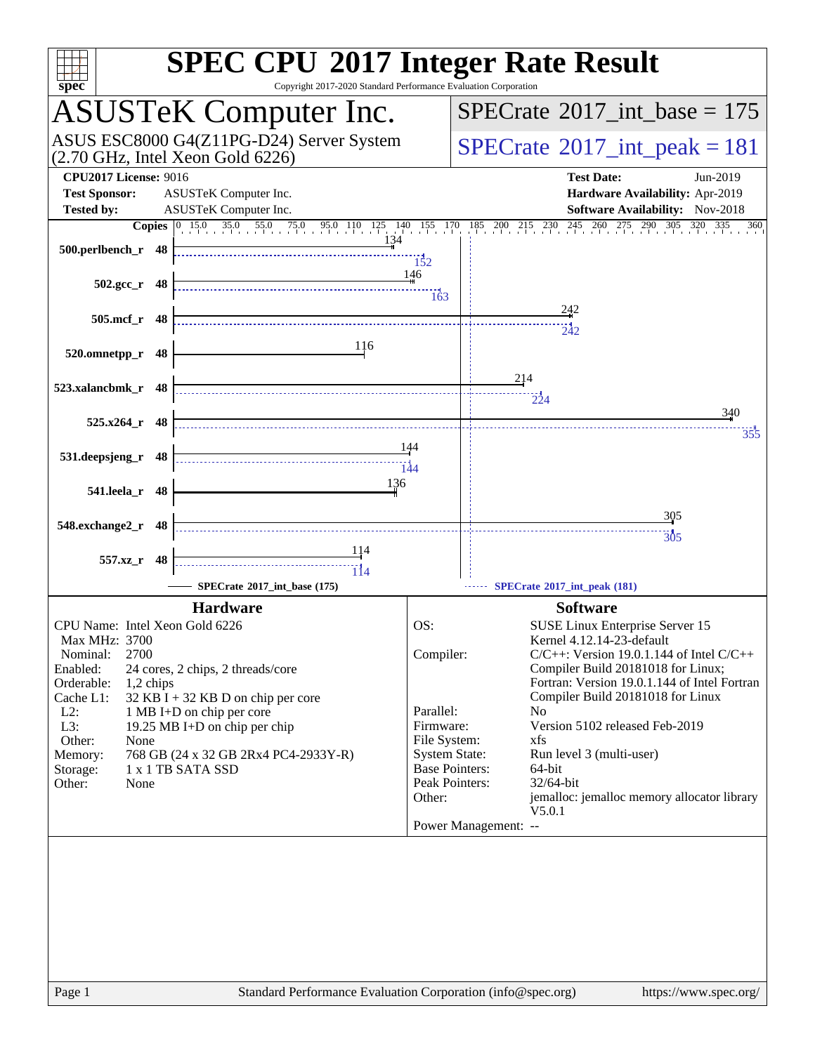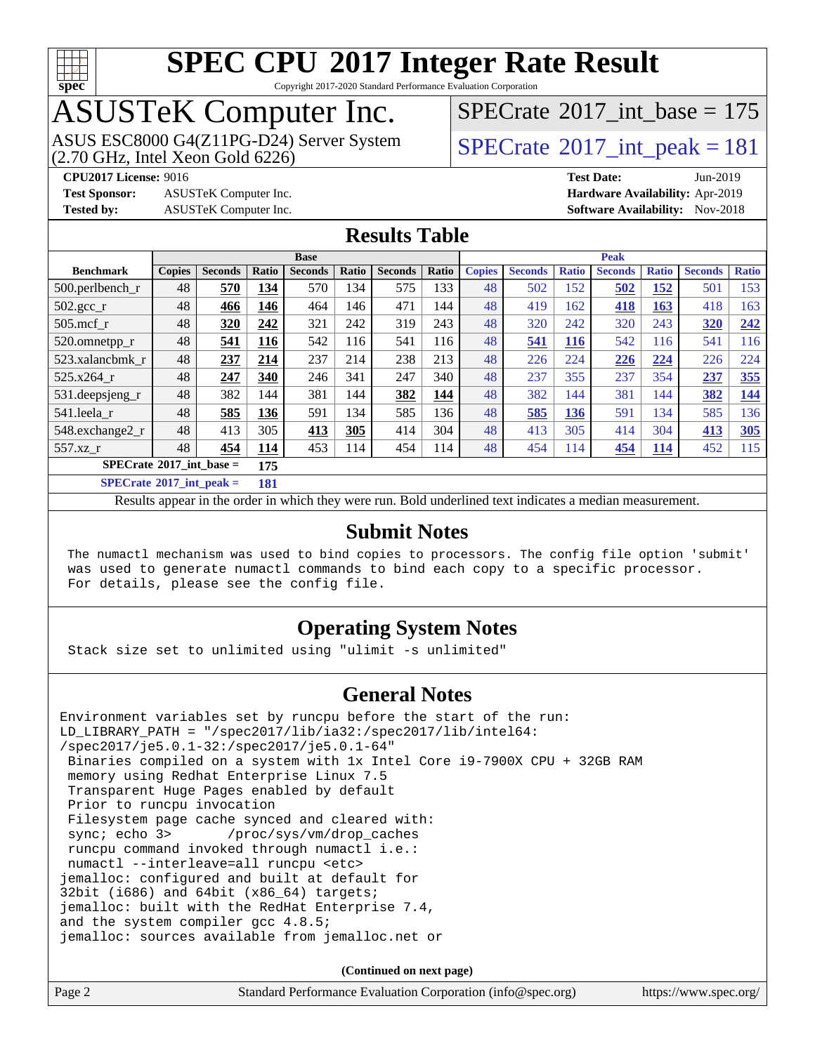

Copyright 2017-2020 Standard Performance Evaluation Corporation

# ASUSTeK Computer Inc.<br>ASUS ESC8000 G4(Z11PG-D24) Server System

 $(2.70$  GHz, Intel Xeon Gold  $6226)$ 

 $SPECTate$ <sup>®</sup>[2017\\_int\\_base =](http://www.spec.org/auto/cpu2017/Docs/result-fields.html#SPECrate2017intbase) 175

**[Test Sponsor:](http://www.spec.org/auto/cpu2017/Docs/result-fields.html#TestSponsor)** ASUSTeK Computer Inc. **[Hardware Availability:](http://www.spec.org/auto/cpu2017/Docs/result-fields.html#HardwareAvailability)** Apr-2019

 $SPECTate<sup>®</sup>2017_int_ppeak =  $181$$ **[CPU2017 License:](http://www.spec.org/auto/cpu2017/Docs/result-fields.html#CPU2017License)** 9016 **[Test Date:](http://www.spec.org/auto/cpu2017/Docs/result-fields.html#TestDate)** Jun-2019

**[Tested by:](http://www.spec.org/auto/cpu2017/Docs/result-fields.html#Testedby)** ASUSTeK Computer Inc. **[Software Availability:](http://www.spec.org/auto/cpu2017/Docs/result-fields.html#SoftwareAvailability)** Nov-2018

#### **[Results Table](http://www.spec.org/auto/cpu2017/Docs/result-fields.html#ResultsTable)**

|                                   |               |                |            | <b>Base</b>    |       |                |       |               |                |              | <b>Peak</b>    |              |                |              |
|-----------------------------------|---------------|----------------|------------|----------------|-------|----------------|-------|---------------|----------------|--------------|----------------|--------------|----------------|--------------|
| <b>Benchmark</b>                  | <b>Copies</b> | <b>Seconds</b> | Ratio      | <b>Seconds</b> | Ratio | <b>Seconds</b> | Ratio | <b>Copies</b> | <b>Seconds</b> | <b>Ratio</b> | <b>Seconds</b> | <b>Ratio</b> | <b>Seconds</b> | <b>Ratio</b> |
| $500.$ perlbench_r                | 48            | 570            | 134        | 570            | 134   | 575            | 133   | 48            | 502            | 152          | 502            | 152          | 501            | 153          |
| $502.\text{sec}$                  | 48            | 466            | 146        | 464            | 146   | 471            | 144   | 48            | 419            | 162          | 418            | <u>163</u>   | 418            | 163          |
| $505$ .mcf r                      | 48            | 320            | 242        | 321            | 242   | 319            | 243   | 48            | 320            | 242          | 320            | 243          | 320            | 242          |
| 520.omnetpp_r                     | 48            | 541            | <b>116</b> | 542            | 116   | 541            | 116   | 48            | 541            | <b>116</b>   | 542            | 116          | 541            | 116          |
| 523.xalancbmk r                   | 48            | 237            | 214        | 237            | 214   | 238            | 213   | 48            | 226            | 224          | 226            | 224          | 226            | 224          |
| 525.x264 r                        | 48            | 247            | 340        | 246            | 341   | 247            | 340   | 48            | 237            | 355          | 237            | 354          | 237            | 355          |
| 531.deepsjeng_r                   | 48            | 382            | 144        | 381            | 144   | 382            | 144   | 48            | 382            | 144          | 381            | 144          | 382            | 144          |
| 541.leela r                       | 48            | 585            | 136        | 591            | 134   | 585            | 136   | 48            | 585            | 136          | 591            | 134          | 585            | 136          |
| 548.exchange2_r                   | 48            | 413            | 305        | 413            | 305   | 414            | 304   | 48            | 413            | 305          | 414            | 304          | 413            | <b>305</b>   |
| 557.xz                            | 48            | 454            | 114        | 453            | 114   | 454            | 114   | 48            | 454            | 114          | 454            | <u>114</u>   | 452            | 115          |
| $SPECrate^{\circ}2017$ int base = |               |                | 175        |                |       |                |       |               |                |              |                |              |                |              |
| $SPECrate^{\circ}2017$ int peak = |               |                | 181        |                |       |                |       |               |                |              |                |              |                |              |

Results appear in the [order in which they were run](http://www.spec.org/auto/cpu2017/Docs/result-fields.html#RunOrder). Bold underlined text [indicates a median measurement](http://www.spec.org/auto/cpu2017/Docs/result-fields.html#Median).

#### **[Submit Notes](http://www.spec.org/auto/cpu2017/Docs/result-fields.html#SubmitNotes)**

 The numactl mechanism was used to bind copies to processors. The config file option 'submit' was used to generate numactl commands to bind each copy to a specific processor. For details, please see the config file.

#### **[Operating System Notes](http://www.spec.org/auto/cpu2017/Docs/result-fields.html#OperatingSystemNotes)**

Stack size set to unlimited using "ulimit -s unlimited"

#### **[General Notes](http://www.spec.org/auto/cpu2017/Docs/result-fields.html#GeneralNotes)**

Environment variables set by runcpu before the start of the run: LD\_LIBRARY\_PATH = "/spec2017/lib/ia32:/spec2017/lib/intel64: /spec2017/je5.0.1-32:/spec2017/je5.0.1-64" Binaries compiled on a system with 1x Intel Core i9-7900X CPU + 32GB RAM memory using Redhat Enterprise Linux 7.5 Transparent Huge Pages enabled by default Prior to runcpu invocation Filesystem page cache synced and cleared with: sync; echo 3> /proc/sys/vm/drop\_caches runcpu command invoked through numactl i.e.: numactl --interleave=all runcpu <etc> jemalloc: configured and built at default for 32bit (i686) and 64bit (x86\_64) targets; jemalloc: built with the RedHat Enterprise 7.4, and the system compiler gcc 4.8.5; jemalloc: sources available from jemalloc.net or

**(Continued on next page)**

| Page 2 | Standard Performance Evaluation Corporation (info@spec.org) | https://www.spec.org/ |
|--------|-------------------------------------------------------------|-----------------------|
|--------|-------------------------------------------------------------|-----------------------|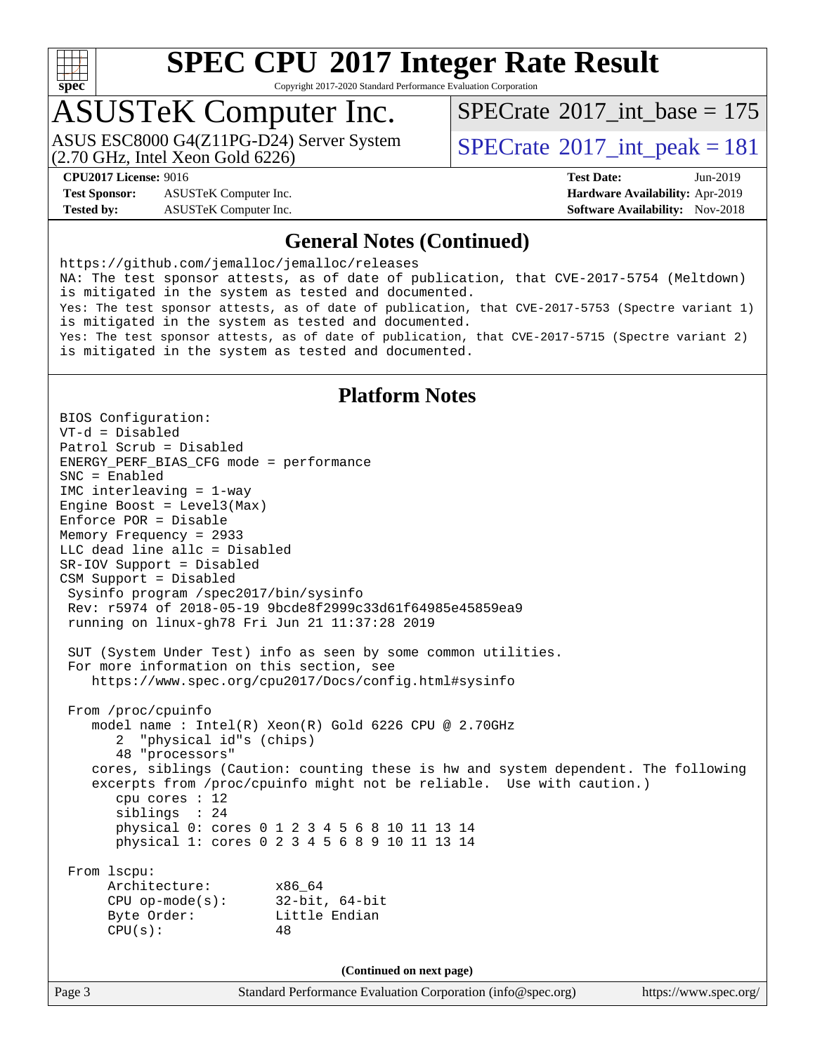

Copyright 2017-2020 Standard Performance Evaluation Corporation

## ASUSTeK Computer Inc.

(2.70 GHz, Intel Xeon Gold 6226) ASUS ESC8000 G4(Z11PG-D24) Server System  $\text{SPECrate}^{\circ}2017\_int\_peak = 181$  $\text{SPECrate}^{\circ}2017\_int\_peak = 181$  $\text{SPECrate}^{\circ}2017\_int\_peak = 181$ 

 $SPECTate$ <sup>®</sup>[2017\\_int\\_base =](http://www.spec.org/auto/cpu2017/Docs/result-fields.html#SPECrate2017intbase) 175

**[Test Sponsor:](http://www.spec.org/auto/cpu2017/Docs/result-fields.html#TestSponsor)** ASUSTeK Computer Inc. **[Hardware Availability:](http://www.spec.org/auto/cpu2017/Docs/result-fields.html#HardwareAvailability)** Apr-2019 **[Tested by:](http://www.spec.org/auto/cpu2017/Docs/result-fields.html#Testedby)** ASUSTeK Computer Inc. **[Software Availability:](http://www.spec.org/auto/cpu2017/Docs/result-fields.html#SoftwareAvailability)** Nov-2018

**[CPU2017 License:](http://www.spec.org/auto/cpu2017/Docs/result-fields.html#CPU2017License)** 9016 **[Test Date:](http://www.spec.org/auto/cpu2017/Docs/result-fields.html#TestDate)** Jun-2019

#### **[General Notes \(Continued\)](http://www.spec.org/auto/cpu2017/Docs/result-fields.html#GeneralNotes)**

<https://github.com/jemalloc/jemalloc/releases> NA: The test sponsor attests, as of date of publication, that CVE-2017-5754 (Meltdown) is mitigated in the system as tested and documented. Yes: The test sponsor attests, as of date of publication, that CVE-2017-5753 (Spectre variant 1) is mitigated in the system as tested and documented. Yes: The test sponsor attests, as of date of publication, that CVE-2017-5715 (Spectre variant 2) is mitigated in the system as tested and documented.

### **[Platform Notes](http://www.spec.org/auto/cpu2017/Docs/result-fields.html#PlatformNotes)**

Page 3 Standard Performance Evaluation Corporation [\(info@spec.org\)](mailto:info@spec.org) <https://www.spec.org/> BIOS Configuration: VT-d = Disabled Patrol Scrub = Disabled ENERGY\_PERF\_BIAS\_CFG mode = performance SNC = Enabled IMC interleaving = 1-way Engine Boost = Level3(Max) Enforce POR = Disable Memory Frequency = 2933 LLC dead line allc = Disabled SR-IOV Support = Disabled CSM Support = Disabled Sysinfo program /spec2017/bin/sysinfo Rev: r5974 of 2018-05-19 9bcde8f2999c33d61f64985e45859ea9 running on linux-gh78 Fri Jun 21 11:37:28 2019 SUT (System Under Test) info as seen by some common utilities. For more information on this section, see <https://www.spec.org/cpu2017/Docs/config.html#sysinfo> From /proc/cpuinfo model name : Intel(R) Xeon(R) Gold 6226 CPU @ 2.70GHz 2 "physical id"s (chips) 48 "processors" cores, siblings (Caution: counting these is hw and system dependent. The following excerpts from /proc/cpuinfo might not be reliable. Use with caution.) cpu cores : 12 siblings : 24 physical 0: cores 0 1 2 3 4 5 6 8 10 11 13 14 physical 1: cores 0 2 3 4 5 6 8 9 10 11 13 14 From lscpu: Architecture: x86\_64 CPU op-mode(s): 32-bit, 64-bit Byte Order: Little Endian  $CPU(s):$  48 **(Continued on next page)**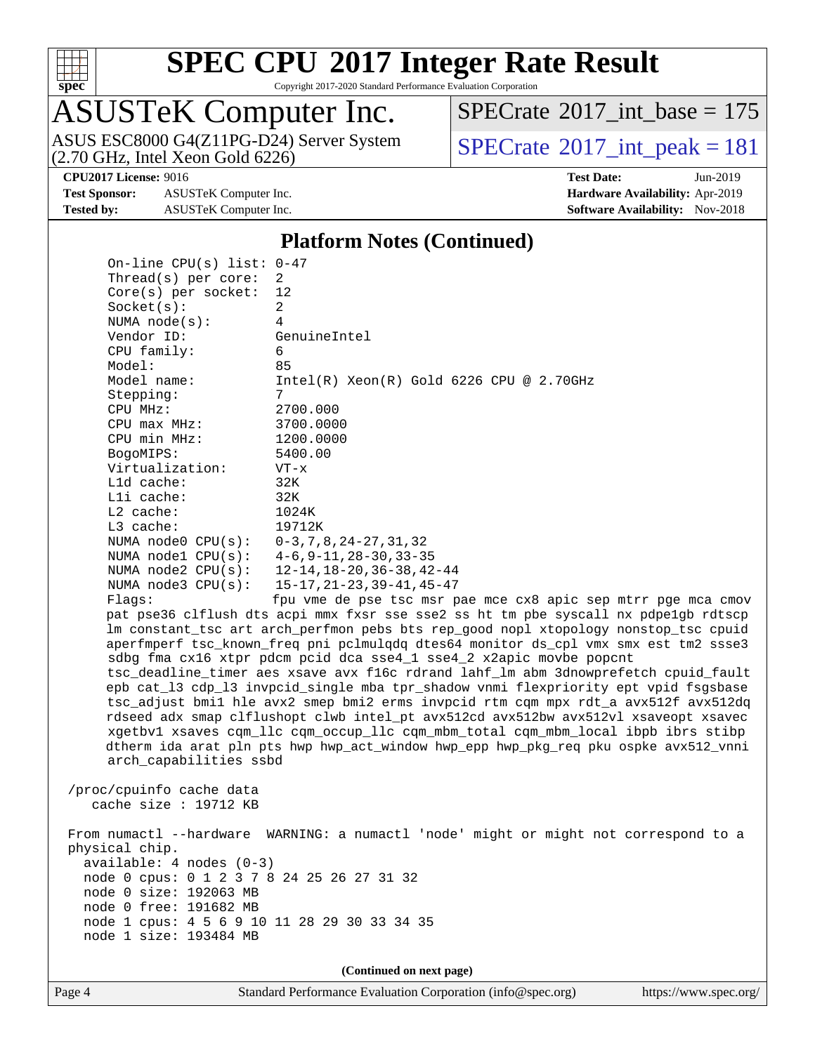

Copyright 2017-2020 Standard Performance Evaluation Corporation

## ASUSTeK Computer Inc.

(2.70 GHz, Intel Xeon Gold 6226) ASUS ESC8000 G4(Z11PG-D24) Server System  $\text{SPECrate}^{\circ}2017\_int\_peak = 181$  $\text{SPECrate}^{\circ}2017\_int\_peak = 181$  $\text{SPECrate}^{\circ}2017\_int\_peak = 181$ 

 $SPECTate$ <sup>®</sup>[2017\\_int\\_base =](http://www.spec.org/auto/cpu2017/Docs/result-fields.html#SPECrate2017intbase) 175

**[Test Sponsor:](http://www.spec.org/auto/cpu2017/Docs/result-fields.html#TestSponsor)** ASUSTeK Computer Inc. **[Hardware Availability:](http://www.spec.org/auto/cpu2017/Docs/result-fields.html#HardwareAvailability)** Apr-2019 **[Tested by:](http://www.spec.org/auto/cpu2017/Docs/result-fields.html#Testedby)** ASUSTeK Computer Inc. **[Software Availability:](http://www.spec.org/auto/cpu2017/Docs/result-fields.html#SoftwareAvailability)** Nov-2018

**[CPU2017 License:](http://www.spec.org/auto/cpu2017/Docs/result-fields.html#CPU2017License)** 9016 **[Test Date:](http://www.spec.org/auto/cpu2017/Docs/result-fields.html#TestDate)** Jun-2019

#### **[Platform Notes \(Continued\)](http://www.spec.org/auto/cpu2017/Docs/result-fields.html#PlatformNotes)**

 On-line CPU(s) list: 0-47 Thread(s) per core: 2 Core(s) per socket: 12 Socket(s): 2 NUMA node(s): 4 Vendor ID: GenuineIntel CPU family: 6 Model: 85 Model name: Intel(R) Xeon(R) Gold 6226 CPU @ 2.70GHz Stepping: 7 CPU MHz: 2700.000 CPU max MHz: 3700.0000 CPU min MHz: 1200.0000 BogoMIPS: 5400.00 Virtualization: VT-x L1d cache: 32K L1i cache: 32K L2 cache: 1024K L3 cache: 19712K NUMA node0 CPU(s): 0-3,7,8,24-27,31,32 NUMA node1 CPU(s): 4-6,9-11,28-30,33-35 NUMA node2 CPU(s): 12-14,18-20,36-38,42-44 NUMA node3 CPU(s): 15-17,21-23,39-41,45-47 Flags: fpu vme de pse tsc msr pae mce cx8 apic sep mtrr pge mca cmov pat pse36 clflush dts acpi mmx fxsr sse sse2 ss ht tm pbe syscall nx pdpe1gb rdtscp lm constant\_tsc art arch\_perfmon pebs bts rep\_good nopl xtopology nonstop\_tsc cpuid aperfmperf tsc\_known\_freq pni pclmulqdq dtes64 monitor ds\_cpl vmx smx est tm2 ssse3 sdbg fma cx16 xtpr pdcm pcid dca sse4\_1 sse4\_2 x2apic movbe popcnt tsc\_deadline\_timer aes xsave avx f16c rdrand lahf\_lm abm 3dnowprefetch cpuid\_fault epb cat\_l3 cdp\_l3 invpcid\_single mba tpr\_shadow vnmi flexpriority ept vpid fsgsbase tsc\_adjust bmi1 hle avx2 smep bmi2 erms invpcid rtm cqm mpx rdt\_a avx512f avx512dq rdseed adx smap clflushopt clwb intel\_pt avx512cd avx512bw avx512vl xsaveopt xsavec xgetbv1 xsaves cqm\_llc cqm\_occup\_llc cqm\_mbm\_total cqm\_mbm\_local ibpb ibrs stibp dtherm ida arat pln pts hwp hwp\_act\_window hwp\_epp hwp\_pkg\_req pku ospke avx512\_vnni arch\_capabilities ssbd /proc/cpuinfo cache data cache size : 19712 KB From numactl --hardware WARNING: a numactl 'node' might or might not correspond to a physical chip. available: 4 nodes (0-3) node 0 cpus: 0 1 2 3 7 8 24 25 26 27 31 32 node 0 size: 192063 MB node 0 free: 191682 MB node 1 cpus: 4 5 6 9 10 11 28 29 30 33 34 35 node 1 size: 193484 MB **(Continued on next page)**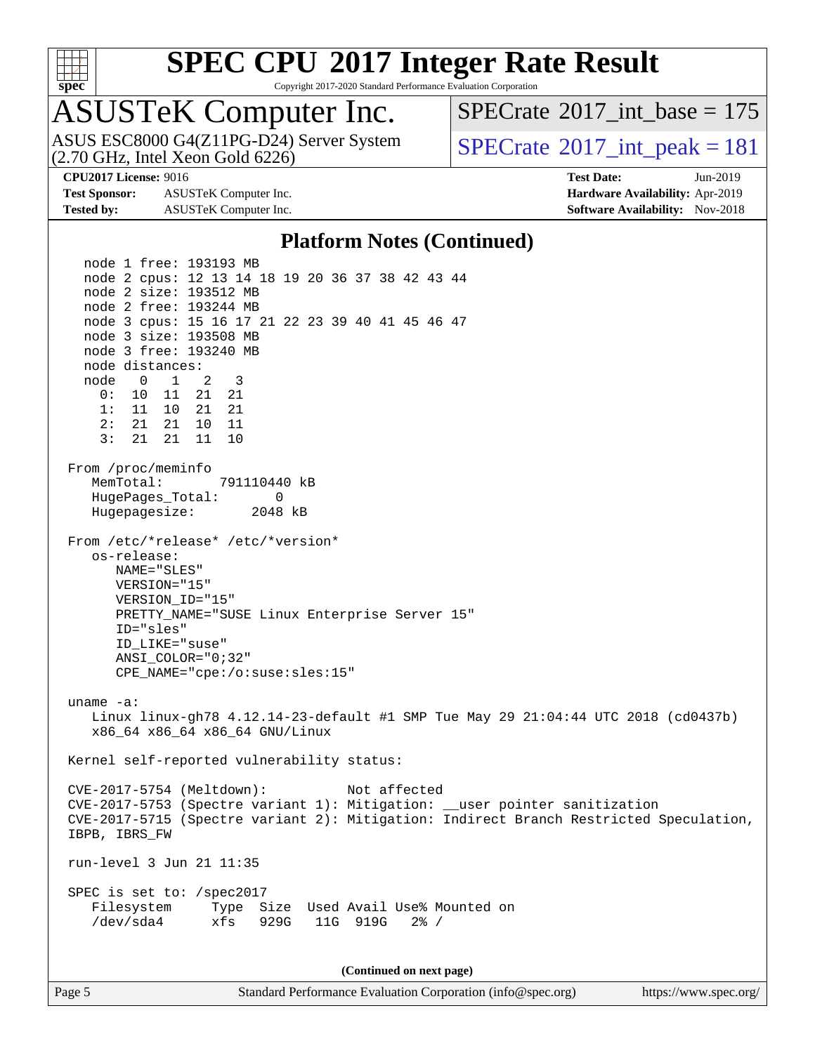

Copyright 2017-2020 Standard Performance Evaluation Corporation

# ASUSTeK Computer Inc.<br>ASUS ESC8000 G4(Z11PG-D24) Server System

(2.70 GHz, Intel Xeon Gold 6226)

 $SPECTate$ <sup>®</sup>[2017\\_int\\_base =](http://www.spec.org/auto/cpu2017/Docs/result-fields.html#SPECrate2017intbase) 175

 $SPECTate@2017\_int\_peak = 181$ 

**[Test Sponsor:](http://www.spec.org/auto/cpu2017/Docs/result-fields.html#TestSponsor)** ASUSTeK Computer Inc. **[Hardware Availability:](http://www.spec.org/auto/cpu2017/Docs/result-fields.html#HardwareAvailability)** Apr-2019 **[Tested by:](http://www.spec.org/auto/cpu2017/Docs/result-fields.html#Testedby)** ASUSTeK Computer Inc. **[Software Availability:](http://www.spec.org/auto/cpu2017/Docs/result-fields.html#SoftwareAvailability)** Nov-2018

**[CPU2017 License:](http://www.spec.org/auto/cpu2017/Docs/result-fields.html#CPU2017License)** 9016 **[Test Date:](http://www.spec.org/auto/cpu2017/Docs/result-fields.html#TestDate)** Jun-2019

#### **[Platform Notes \(Continued\)](http://www.spec.org/auto/cpu2017/Docs/result-fields.html#PlatformNotes)**

 node 1 free: 193193 MB node 2 cpus: 12 13 14 18 19 20 36 37 38 42 43 44 node 2 size: 193512 MB node 2 free: 193244 MB node 3 cpus: 15 16 17 21 22 23 39 40 41 45 46 47 node 3 size: 193508 MB node 3 free: 193240 MB node distances: node 0 1 2 3 0: 10 11 21 21 1: 11 10 21 21 2: 21 21 10 11 3: 21 21 11 10 From /proc/meminfo MemTotal: 791110440 kB HugePages\_Total: 0 Hugepagesize: 2048 kB From /etc/\*release\* /etc/\*version\* os-release: NAME="SLES" VERSION="15" VERSION\_ID="15" PRETTY\_NAME="SUSE Linux Enterprise Server 15" ID="sles" ID\_LIKE="suse" ANSI\_COLOR="0;32" CPE\_NAME="cpe:/o:suse:sles:15" uname -a: Linux linux-gh78 4.12.14-23-default #1 SMP Tue May 29 21:04:44 UTC 2018 (cd0437b) x86\_64 x86\_64 x86\_64 GNU/Linux Kernel self-reported vulnerability status: CVE-2017-5754 (Meltdown): Not affected CVE-2017-5753 (Spectre variant 1): Mitigation: \_\_user pointer sanitization CVE-2017-5715 (Spectre variant 2): Mitigation: Indirect Branch Restricted Speculation, IBPB, IBRS\_FW run-level 3 Jun 21 11:35 SPEC is set to: /spec2017 Filesystem Type Size Used Avail Use% Mounted on /dev/sda4 xfs 929G 11G 919G 2% /

**(Continued on next page)**

Page 5 Standard Performance Evaluation Corporation [\(info@spec.org\)](mailto:info@spec.org) <https://www.spec.org/>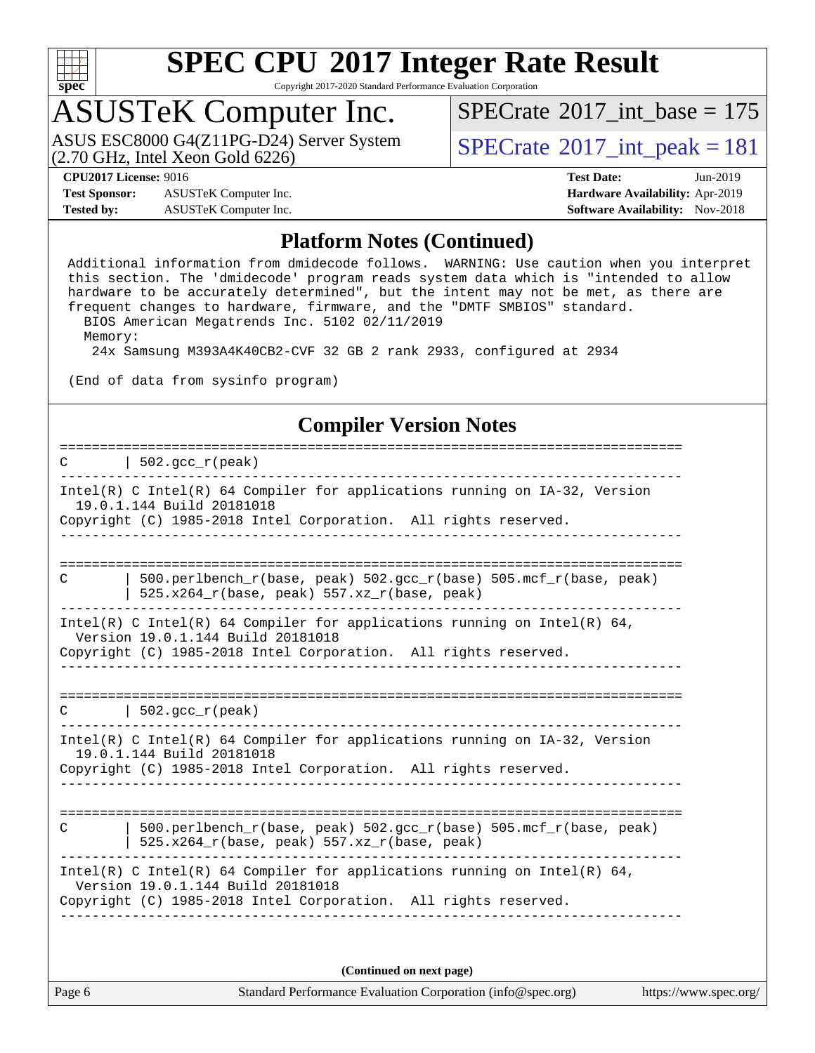

Copyright 2017-2020 Standard Performance Evaluation Corporation

## ASUSTeK Computer Inc.

(2.70 GHz, Intel Xeon Gold 6226) ASUS ESC8000 G4(Z11PG-D24) Server System  $\vert$  [SPECrate](http://www.spec.org/auto/cpu2017/Docs/result-fields.html#SPECrate2017intpeak)®[2017\\_int\\_peak = 1](http://www.spec.org/auto/cpu2017/Docs/result-fields.html#SPECrate2017intpeak)81

 $SPECTate$ <sup>®</sup>[2017\\_int\\_base =](http://www.spec.org/auto/cpu2017/Docs/result-fields.html#SPECrate2017intbase) 175

**[Test Sponsor:](http://www.spec.org/auto/cpu2017/Docs/result-fields.html#TestSponsor)** ASUSTeK Computer Inc. **[Hardware Availability:](http://www.spec.org/auto/cpu2017/Docs/result-fields.html#HardwareAvailability)** Apr-2019 **[Tested by:](http://www.spec.org/auto/cpu2017/Docs/result-fields.html#Testedby)** ASUSTeK Computer Inc. **[Software Availability:](http://www.spec.org/auto/cpu2017/Docs/result-fields.html#SoftwareAvailability)** Nov-2018

**[CPU2017 License:](http://www.spec.org/auto/cpu2017/Docs/result-fields.html#CPU2017License)** 9016 **[Test Date:](http://www.spec.org/auto/cpu2017/Docs/result-fields.html#TestDate)** Jun-2019

#### **[Platform Notes \(Continued\)](http://www.spec.org/auto/cpu2017/Docs/result-fields.html#PlatformNotes)**

 Additional information from dmidecode follows. WARNING: Use caution when you interpret this section. The 'dmidecode' program reads system data which is "intended to allow hardware to be accurately determined", but the intent may not be met, as there are frequent changes to hardware, firmware, and the "DMTF SMBIOS" standard. BIOS American Megatrends Inc. 5102 02/11/2019 Memory:

24x Samsung M393A4K40CB2-CVF 32 GB 2 rank 2933, configured at 2934

(End of data from sysinfo program)

#### **[Compiler Version Notes](http://www.spec.org/auto/cpu2017/Docs/result-fields.html#CompilerVersionNotes)**

| $\vert$ 502.gcc_r(peak)                                                                                                                                                          |
|----------------------------------------------------------------------------------------------------------------------------------------------------------------------------------|
| Intel(R) C Intel(R) 64 Compiler for applications running on $IA-32$ , Version<br>19.0.1.144 Build 20181018<br>Copyright (C) 1985-2018 Intel Corporation. All rights reserved.    |
| $500.perlbench_r(base, peak) 502.sec_r(base) 505.mcf_r(base, peak)$<br>C<br>$525.x264_r(base, peak) 557.xz_r(base, peak)$                                                        |
| Intel(R) C Intel(R) 64 Compiler for applications running on Intel(R) 64,<br>Version 19.0.1.144 Build 20181018<br>Copyright (C) 1985-2018 Intel Corporation. All rights reserved. |
| $C$   502.gcc_r(peak)                                                                                                                                                            |
| $Intel(R)$ C Intel(R) 64 Compiler for applications running on $IA-32$ , Version<br>19.0.1.144 Build 20181018<br>Copyright (C) 1985-2018 Intel Corporation. All rights reserved.  |
| 500.perlbench_r(base, peak) 502.gcc_r(base) 505.mcf_r(base, peak)<br>C<br>$525.x264_r(base, peak) 557.xz_r(base, peak)$                                                          |
| Intel(R) C Intel(R) 64 Compiler for applications running on Intel(R) 64,<br>Version 19.0.1.144 Build 20181018<br>Copyright (C) 1985-2018 Intel Corporation. All rights reserved. |
| (Continued on next page)                                                                                                                                                         |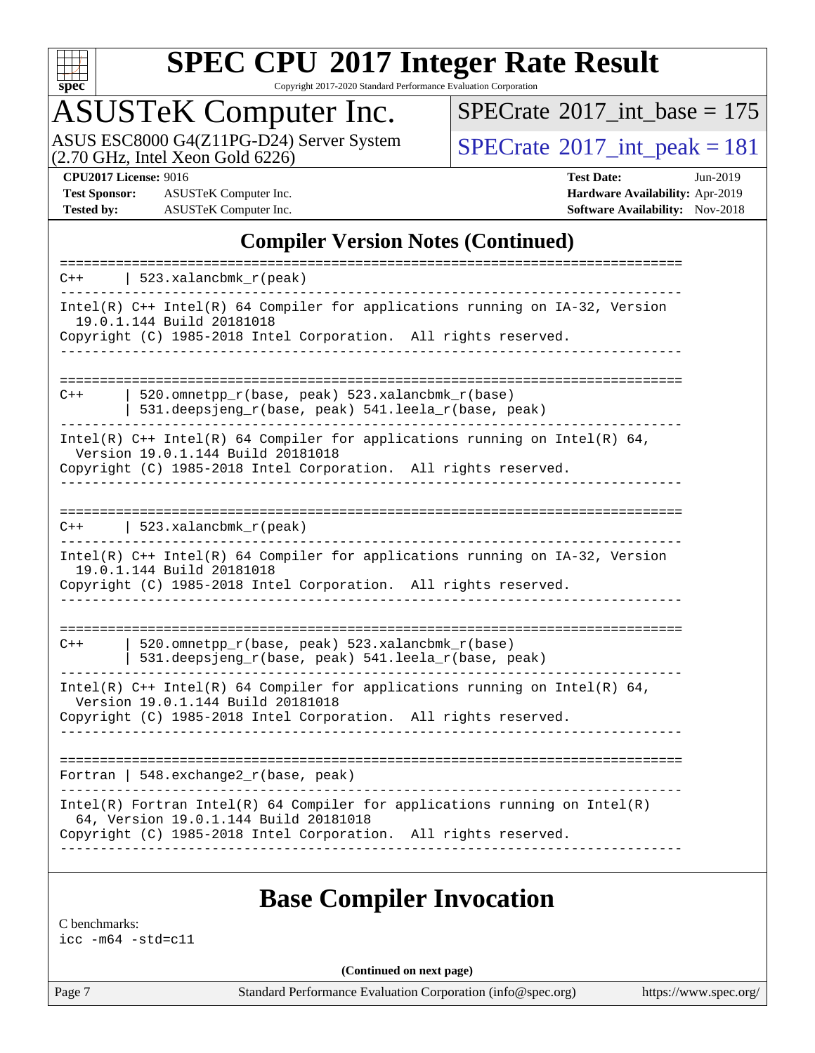

Copyright 2017-2020 Standard Performance Evaluation Corporation

## ASUSTeK Computer Inc.

ASUS ESC8000 G4(Z11PG-D24) Server System<br>(2.70 GHz, Intel Xeon Gold 6226)

 $SPECrate$ <sup>®</sup>[2017\\_int\\_base =](http://www.spec.org/auto/cpu2017/Docs/result-fields.html#SPECrate2017intbase) 175

 $SPECTate@2017_int\_peak = 181$ 

**[Test Sponsor:](http://www.spec.org/auto/cpu2017/Docs/result-fields.html#TestSponsor)** ASUSTeK Computer Inc. **[Hardware Availability:](http://www.spec.org/auto/cpu2017/Docs/result-fields.html#HardwareAvailability)** Apr-2019 **[Tested by:](http://www.spec.org/auto/cpu2017/Docs/result-fields.html#Testedby)** ASUSTeK Computer Inc. **[Software Availability:](http://www.spec.org/auto/cpu2017/Docs/result-fields.html#SoftwareAvailability)** Nov-2018

**[CPU2017 License:](http://www.spec.org/auto/cpu2017/Docs/result-fields.html#CPU2017License)** 9016 **[Test Date:](http://www.spec.org/auto/cpu2017/Docs/result-fields.html#TestDate)** Jun-2019

### **[Compiler Version Notes \(Continued\)](http://www.spec.org/auto/cpu2017/Docs/result-fields.html#CompilerVersionNotes)**

| $C++$ | 523.xalancbmk_r(peak)                                                                                                                                                                    |
|-------|------------------------------------------------------------------------------------------------------------------------------------------------------------------------------------------|
|       | Intel(R) C++ Intel(R) 64 Compiler for applications running on IA-32, Version<br>19.0.1.144 Build 20181018<br>Copyright (C) 1985-2018 Intel Corporation. All rights reserved.             |
| $C++$ | 520.omnetpp_r(base, peak) 523.xalancbmk_r(base)<br>531.deepsjeng_r(base, peak) 541.leela_r(base, peak)                                                                                   |
|       | Intel(R) $C++$ Intel(R) 64 Compiler for applications running on Intel(R) 64,<br>Version 19.0.1.144 Build 20181018<br>Copyright (C) 1985-2018 Intel Corporation. All rights reserved.     |
| $C++$ | 523.xalancbmk $r(\text{peak})$                                                                                                                                                           |
|       | Intel(R) C++ Intel(R) 64 Compiler for applications running on IA-32, Version<br>19.0.1.144 Build 20181018<br>Copyright (C) 1985-2018 Intel Corporation. All rights reserved.             |
| $C++$ | 520.omnetpp_r(base, peak) 523.xalancbmk_r(base)<br>531.deepsjeng_r(base, peak) 541.leela_r(base, peak)                                                                                   |
|       | Intel(R) $C++$ Intel(R) 64 Compiler for applications running on Intel(R) 64,<br>Version 19.0.1.144 Build 20181018<br>Copyright (C) 1985-2018 Intel Corporation. All rights reserved.     |
|       | Fortran   548. exchange $2\lfloor r(\text{base}, \text{peak}) \rfloor$                                                                                                                   |
|       | $Intel(R)$ Fortran Intel(R) 64 Compiler for applications running on Intel(R)<br>64, Version 19.0.1.144 Build 20181018<br>Copyright (C) 1985-2018 Intel Corporation. All rights reserved. |
|       |                                                                                                                                                                                          |

### **[Base Compiler Invocation](http://www.spec.org/auto/cpu2017/Docs/result-fields.html#BaseCompilerInvocation)**

[C benchmarks:](http://www.spec.org/auto/cpu2017/Docs/result-fields.html#Cbenchmarks) [icc -m64 -std=c11](http://www.spec.org/cpu2017/results/res2019q3/cpu2017-20190709-16044.flags.html#user_CCbase_intel_icc_64bit_c11_33ee0cdaae7deeeab2a9725423ba97205ce30f63b9926c2519791662299b76a0318f32ddfffdc46587804de3178b4f9328c46fa7c2b0cd779d7a61945c91cd35)

**(Continued on next page)**

Page 7 Standard Performance Evaluation Corporation [\(info@spec.org\)](mailto:info@spec.org) <https://www.spec.org/>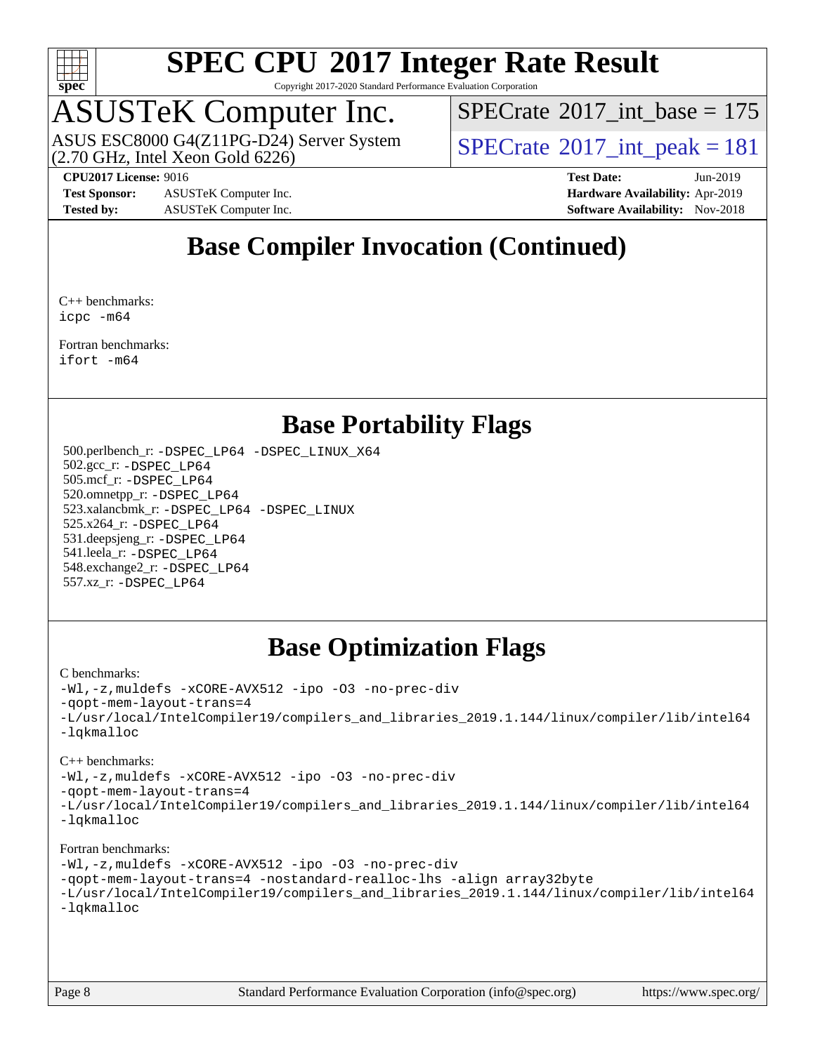

Copyright 2017-2020 Standard Performance Evaluation Corporation

# ASUSTeK Computer Inc.<br>ASUS ESC8000 G4(Z11PG-D24) Server System

(2.70 GHz, Intel Xeon Gold 6226)

 $SPECTate$ <sup>®</sup>[2017\\_int\\_base =](http://www.spec.org/auto/cpu2017/Docs/result-fields.html#SPECrate2017intbase) 175

 $SPECTate@2017\_int\_peak = 181$ 

**[Test Sponsor:](http://www.spec.org/auto/cpu2017/Docs/result-fields.html#TestSponsor)** ASUSTeK Computer Inc. **[Hardware Availability:](http://www.spec.org/auto/cpu2017/Docs/result-fields.html#HardwareAvailability)** Apr-2019 **[Tested by:](http://www.spec.org/auto/cpu2017/Docs/result-fields.html#Testedby)** ASUSTeK Computer Inc. **[Software Availability:](http://www.spec.org/auto/cpu2017/Docs/result-fields.html#SoftwareAvailability)** Nov-2018

**[CPU2017 License:](http://www.spec.org/auto/cpu2017/Docs/result-fields.html#CPU2017License)** 9016 **[Test Date:](http://www.spec.org/auto/cpu2017/Docs/result-fields.html#TestDate)** Jun-2019

### **[Base Compiler Invocation \(Continued\)](http://www.spec.org/auto/cpu2017/Docs/result-fields.html#BaseCompilerInvocation)**

[C++ benchmarks](http://www.spec.org/auto/cpu2017/Docs/result-fields.html#CXXbenchmarks): [icpc -m64](http://www.spec.org/cpu2017/results/res2019q3/cpu2017-20190709-16044.flags.html#user_CXXbase_intel_icpc_64bit_4ecb2543ae3f1412ef961e0650ca070fec7b7afdcd6ed48761b84423119d1bf6bdf5cad15b44d48e7256388bc77273b966e5eb805aefd121eb22e9299b2ec9d9)

[Fortran benchmarks](http://www.spec.org/auto/cpu2017/Docs/result-fields.html#Fortranbenchmarks): [ifort -m64](http://www.spec.org/cpu2017/results/res2019q3/cpu2017-20190709-16044.flags.html#user_FCbase_intel_ifort_64bit_24f2bb282fbaeffd6157abe4f878425411749daecae9a33200eee2bee2fe76f3b89351d69a8130dd5949958ce389cf37ff59a95e7a40d588e8d3a57e0c3fd751)

### **[Base Portability Flags](http://www.spec.org/auto/cpu2017/Docs/result-fields.html#BasePortabilityFlags)**

 500.perlbench\_r: [-DSPEC\\_LP64](http://www.spec.org/cpu2017/results/res2019q3/cpu2017-20190709-16044.flags.html#b500.perlbench_r_basePORTABILITY_DSPEC_LP64) [-DSPEC\\_LINUX\\_X64](http://www.spec.org/cpu2017/results/res2019q3/cpu2017-20190709-16044.flags.html#b500.perlbench_r_baseCPORTABILITY_DSPEC_LINUX_X64) 502.gcc\_r: [-DSPEC\\_LP64](http://www.spec.org/cpu2017/results/res2019q3/cpu2017-20190709-16044.flags.html#suite_basePORTABILITY502_gcc_r_DSPEC_LP64) 505.mcf\_r: [-DSPEC\\_LP64](http://www.spec.org/cpu2017/results/res2019q3/cpu2017-20190709-16044.flags.html#suite_basePORTABILITY505_mcf_r_DSPEC_LP64) 520.omnetpp\_r: [-DSPEC\\_LP64](http://www.spec.org/cpu2017/results/res2019q3/cpu2017-20190709-16044.flags.html#suite_basePORTABILITY520_omnetpp_r_DSPEC_LP64) 523.xalancbmk\_r: [-DSPEC\\_LP64](http://www.spec.org/cpu2017/results/res2019q3/cpu2017-20190709-16044.flags.html#suite_basePORTABILITY523_xalancbmk_r_DSPEC_LP64) [-DSPEC\\_LINUX](http://www.spec.org/cpu2017/results/res2019q3/cpu2017-20190709-16044.flags.html#b523.xalancbmk_r_baseCXXPORTABILITY_DSPEC_LINUX) 525.x264\_r: [-DSPEC\\_LP64](http://www.spec.org/cpu2017/results/res2019q3/cpu2017-20190709-16044.flags.html#suite_basePORTABILITY525_x264_r_DSPEC_LP64) 531.deepsjeng\_r: [-DSPEC\\_LP64](http://www.spec.org/cpu2017/results/res2019q3/cpu2017-20190709-16044.flags.html#suite_basePORTABILITY531_deepsjeng_r_DSPEC_LP64) 541.leela\_r: [-DSPEC\\_LP64](http://www.spec.org/cpu2017/results/res2019q3/cpu2017-20190709-16044.flags.html#suite_basePORTABILITY541_leela_r_DSPEC_LP64) 548.exchange2\_r: [-DSPEC\\_LP64](http://www.spec.org/cpu2017/results/res2019q3/cpu2017-20190709-16044.flags.html#suite_basePORTABILITY548_exchange2_r_DSPEC_LP64) 557.xz\_r: [-DSPEC\\_LP64](http://www.spec.org/cpu2017/results/res2019q3/cpu2017-20190709-16044.flags.html#suite_basePORTABILITY557_xz_r_DSPEC_LP64)

### **[Base Optimization Flags](http://www.spec.org/auto/cpu2017/Docs/result-fields.html#BaseOptimizationFlags)**

#### [C benchmarks](http://www.spec.org/auto/cpu2017/Docs/result-fields.html#Cbenchmarks):

[-Wl,-z,muldefs](http://www.spec.org/cpu2017/results/res2019q3/cpu2017-20190709-16044.flags.html#user_CCbase_link_force_multiple1_b4cbdb97b34bdee9ceefcfe54f4c8ea74255f0b02a4b23e853cdb0e18eb4525ac79b5a88067c842dd0ee6996c24547a27a4b99331201badda8798ef8a743f577) [-xCORE-AVX512](http://www.spec.org/cpu2017/results/res2019q3/cpu2017-20190709-16044.flags.html#user_CCbase_f-xCORE-AVX512) [-ipo](http://www.spec.org/cpu2017/results/res2019q3/cpu2017-20190709-16044.flags.html#user_CCbase_f-ipo) [-O3](http://www.spec.org/cpu2017/results/res2019q3/cpu2017-20190709-16044.flags.html#user_CCbase_f-O3) [-no-prec-div](http://www.spec.org/cpu2017/results/res2019q3/cpu2017-20190709-16044.flags.html#user_CCbase_f-no-prec-div) [-qopt-mem-layout-trans=4](http://www.spec.org/cpu2017/results/res2019q3/cpu2017-20190709-16044.flags.html#user_CCbase_f-qopt-mem-layout-trans_fa39e755916c150a61361b7846f310bcdf6f04e385ef281cadf3647acec3f0ae266d1a1d22d972a7087a248fd4e6ca390a3634700869573d231a252c784941a8) [-L/usr/local/IntelCompiler19/compilers\\_and\\_libraries\\_2019.1.144/linux/compiler/lib/intel64](http://www.spec.org/cpu2017/results/res2019q3/cpu2017-20190709-16044.flags.html#user_CCbase_qkmalloc_link_f25da0aa8cf9bced0533715046f0c2fbfb1a7191e3e496916672e09b4c388a884c4c7e4862cb529343da2264b43416df65c99fd1ddbf5dd13ae6d3130cf47881) [-lqkmalloc](http://www.spec.org/cpu2017/results/res2019q3/cpu2017-20190709-16044.flags.html#user_CCbase_qkmalloc_link_lib_79a818439969f771c6bc311cfd333c00fc099dad35c030f5aab9dda831713d2015205805422f83de8875488a2991c0a156aaa600e1f9138f8fc37004abc96dc5)

#### [C++ benchmarks](http://www.spec.org/auto/cpu2017/Docs/result-fields.html#CXXbenchmarks):

[-Wl,-z,muldefs](http://www.spec.org/cpu2017/results/res2019q3/cpu2017-20190709-16044.flags.html#user_CXXbase_link_force_multiple1_b4cbdb97b34bdee9ceefcfe54f4c8ea74255f0b02a4b23e853cdb0e18eb4525ac79b5a88067c842dd0ee6996c24547a27a4b99331201badda8798ef8a743f577) [-xCORE-AVX512](http://www.spec.org/cpu2017/results/res2019q3/cpu2017-20190709-16044.flags.html#user_CXXbase_f-xCORE-AVX512) [-ipo](http://www.spec.org/cpu2017/results/res2019q3/cpu2017-20190709-16044.flags.html#user_CXXbase_f-ipo) [-O3](http://www.spec.org/cpu2017/results/res2019q3/cpu2017-20190709-16044.flags.html#user_CXXbase_f-O3) [-no-prec-div](http://www.spec.org/cpu2017/results/res2019q3/cpu2017-20190709-16044.flags.html#user_CXXbase_f-no-prec-div)

[-qopt-mem-layout-trans=4](http://www.spec.org/cpu2017/results/res2019q3/cpu2017-20190709-16044.flags.html#user_CXXbase_f-qopt-mem-layout-trans_fa39e755916c150a61361b7846f310bcdf6f04e385ef281cadf3647acec3f0ae266d1a1d22d972a7087a248fd4e6ca390a3634700869573d231a252c784941a8)

[-L/usr/local/IntelCompiler19/compilers\\_and\\_libraries\\_2019.1.144/linux/compiler/lib/intel64](http://www.spec.org/cpu2017/results/res2019q3/cpu2017-20190709-16044.flags.html#user_CXXbase_qkmalloc_link_f25da0aa8cf9bced0533715046f0c2fbfb1a7191e3e496916672e09b4c388a884c4c7e4862cb529343da2264b43416df65c99fd1ddbf5dd13ae6d3130cf47881) [-lqkmalloc](http://www.spec.org/cpu2017/results/res2019q3/cpu2017-20190709-16044.flags.html#user_CXXbase_qkmalloc_link_lib_79a818439969f771c6bc311cfd333c00fc099dad35c030f5aab9dda831713d2015205805422f83de8875488a2991c0a156aaa600e1f9138f8fc37004abc96dc5)

#### [Fortran benchmarks](http://www.spec.org/auto/cpu2017/Docs/result-fields.html#Fortranbenchmarks):

```
-Wl,-z,muldefs -xCORE-AVX512 -ipo -O3 -no-prec-div
-qopt-mem-layout-trans=4 -nostandard-realloc-lhs -align array32byte
-L/usr/local/IntelCompiler19/compilers_and_libraries_2019.1.144/linux/compiler/lib/intel64
-lqkmalloc
```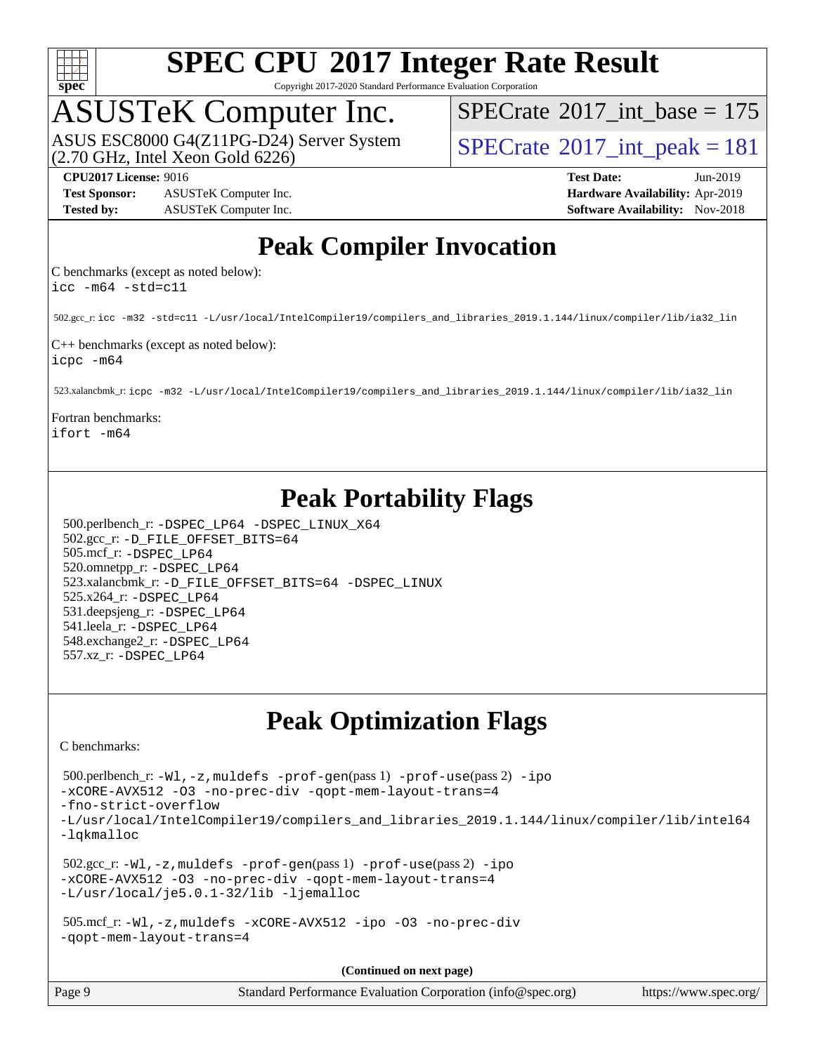

Copyright 2017-2020 Standard Performance Evaluation Corporation

## ASUSTeK Computer Inc.

(2.70 GHz, Intel Xeon Gold 6226) ASUS ESC8000 G4(Z11PG-D24) Server System  $SPECrate@2017\_int\_peak = 181$  $SPECrate@2017\_int\_peak = 181$ 

 $SPECTate$ <sup>®</sup>[2017\\_int\\_base =](http://www.spec.org/auto/cpu2017/Docs/result-fields.html#SPECrate2017intbase) 175

**[Test Sponsor:](http://www.spec.org/auto/cpu2017/Docs/result-fields.html#TestSponsor)** ASUSTeK Computer Inc. **[Hardware Availability:](http://www.spec.org/auto/cpu2017/Docs/result-fields.html#HardwareAvailability)** Apr-2019 **[Tested by:](http://www.spec.org/auto/cpu2017/Docs/result-fields.html#Testedby)** ASUSTeK Computer Inc. **[Software Availability:](http://www.spec.org/auto/cpu2017/Docs/result-fields.html#SoftwareAvailability)** Nov-2018

**[CPU2017 License:](http://www.spec.org/auto/cpu2017/Docs/result-fields.html#CPU2017License)** 9016 **[Test Date:](http://www.spec.org/auto/cpu2017/Docs/result-fields.html#TestDate)** Jun-2019

### **[Peak Compiler Invocation](http://www.spec.org/auto/cpu2017/Docs/result-fields.html#PeakCompilerInvocation)**

[C benchmarks \(except as noted below\):](http://www.spec.org/auto/cpu2017/Docs/result-fields.html#Cbenchmarksexceptasnotedbelow) [icc -m64 -std=c11](http://www.spec.org/cpu2017/results/res2019q3/cpu2017-20190709-16044.flags.html#user_CCpeak_intel_icc_64bit_c11_33ee0cdaae7deeeab2a9725423ba97205ce30f63b9926c2519791662299b76a0318f32ddfffdc46587804de3178b4f9328c46fa7c2b0cd779d7a61945c91cd35)

502.gcc\_r: [icc -m32 -std=c11 -L/usr/local/IntelCompiler19/compilers\\_and\\_libraries\\_2019.1.144/linux/compiler/lib/ia32\\_lin](http://www.spec.org/cpu2017/results/res2019q3/cpu2017-20190709-16044.flags.html#user_peakCCLD502_gcc_r_intel_icc_40453ff6bf9521e1d4c2d3e2fb99253a88fa516366d57fe908127cec2d2803e1a519020f7199618d366f5331d17d60a40bdca38a56a807895183dcecb671b0e5)

[C++ benchmarks \(except as noted below\):](http://www.spec.org/auto/cpu2017/Docs/result-fields.html#CXXbenchmarksexceptasnotedbelow) [icpc -m64](http://www.spec.org/cpu2017/results/res2019q3/cpu2017-20190709-16044.flags.html#user_CXXpeak_intel_icpc_64bit_4ecb2543ae3f1412ef961e0650ca070fec7b7afdcd6ed48761b84423119d1bf6bdf5cad15b44d48e7256388bc77273b966e5eb805aefd121eb22e9299b2ec9d9)

523.xalancbmk\_r: [icpc -m32 -L/usr/local/IntelCompiler19/compilers\\_and\\_libraries\\_2019.1.144/linux/compiler/lib/ia32\\_lin](http://www.spec.org/cpu2017/results/res2019q3/cpu2017-20190709-16044.flags.html#user_peakCXXLD523_xalancbmk_r_intel_icpc_da1545662a59c569b62a27824af614167f9a0289efc0155d279b219af3bd2ccb3c10a77eb36bcb264d681e48d9166bbcec9d21ef2c85e5a63a687a8887ddded7)

[Fortran benchmarks](http://www.spec.org/auto/cpu2017/Docs/result-fields.html#Fortranbenchmarks): [ifort -m64](http://www.spec.org/cpu2017/results/res2019q3/cpu2017-20190709-16044.flags.html#user_FCpeak_intel_ifort_64bit_24f2bb282fbaeffd6157abe4f878425411749daecae9a33200eee2bee2fe76f3b89351d69a8130dd5949958ce389cf37ff59a95e7a40d588e8d3a57e0c3fd751)

## **[Peak Portability Flags](http://www.spec.org/auto/cpu2017/Docs/result-fields.html#PeakPortabilityFlags)**

 500.perlbench\_r: [-DSPEC\\_LP64](http://www.spec.org/cpu2017/results/res2019q3/cpu2017-20190709-16044.flags.html#b500.perlbench_r_peakPORTABILITY_DSPEC_LP64) [-DSPEC\\_LINUX\\_X64](http://www.spec.org/cpu2017/results/res2019q3/cpu2017-20190709-16044.flags.html#b500.perlbench_r_peakCPORTABILITY_DSPEC_LINUX_X64) 502.gcc\_r: [-D\\_FILE\\_OFFSET\\_BITS=64](http://www.spec.org/cpu2017/results/res2019q3/cpu2017-20190709-16044.flags.html#user_peakPORTABILITY502_gcc_r_file_offset_bits_64_5ae949a99b284ddf4e95728d47cb0843d81b2eb0e18bdfe74bbf0f61d0b064f4bda2f10ea5eb90e1dcab0e84dbc592acfc5018bc955c18609f94ddb8d550002c) 505.mcf\_r: [-DSPEC\\_LP64](http://www.spec.org/cpu2017/results/res2019q3/cpu2017-20190709-16044.flags.html#suite_peakPORTABILITY505_mcf_r_DSPEC_LP64) 520.omnetpp\_r: [-DSPEC\\_LP64](http://www.spec.org/cpu2017/results/res2019q3/cpu2017-20190709-16044.flags.html#suite_peakPORTABILITY520_omnetpp_r_DSPEC_LP64) 523.xalancbmk\_r: [-D\\_FILE\\_OFFSET\\_BITS=64](http://www.spec.org/cpu2017/results/res2019q3/cpu2017-20190709-16044.flags.html#user_peakPORTABILITY523_xalancbmk_r_file_offset_bits_64_5ae949a99b284ddf4e95728d47cb0843d81b2eb0e18bdfe74bbf0f61d0b064f4bda2f10ea5eb90e1dcab0e84dbc592acfc5018bc955c18609f94ddb8d550002c) [-DSPEC\\_LINUX](http://www.spec.org/cpu2017/results/res2019q3/cpu2017-20190709-16044.flags.html#b523.xalancbmk_r_peakCXXPORTABILITY_DSPEC_LINUX) 525.x264\_r: [-DSPEC\\_LP64](http://www.spec.org/cpu2017/results/res2019q3/cpu2017-20190709-16044.flags.html#suite_peakPORTABILITY525_x264_r_DSPEC_LP64) 531.deepsjeng\_r: [-DSPEC\\_LP64](http://www.spec.org/cpu2017/results/res2019q3/cpu2017-20190709-16044.flags.html#suite_peakPORTABILITY531_deepsjeng_r_DSPEC_LP64) 541.leela\_r: [-DSPEC\\_LP64](http://www.spec.org/cpu2017/results/res2019q3/cpu2017-20190709-16044.flags.html#suite_peakPORTABILITY541_leela_r_DSPEC_LP64) 548.exchange2\_r: [-DSPEC\\_LP64](http://www.spec.org/cpu2017/results/res2019q3/cpu2017-20190709-16044.flags.html#suite_peakPORTABILITY548_exchange2_r_DSPEC_LP64) 557.xz\_r: [-DSPEC\\_LP64](http://www.spec.org/cpu2017/results/res2019q3/cpu2017-20190709-16044.flags.html#suite_peakPORTABILITY557_xz_r_DSPEC_LP64)

## **[Peak Optimization Flags](http://www.spec.org/auto/cpu2017/Docs/result-fields.html#PeakOptimizationFlags)**

[C benchmarks](http://www.spec.org/auto/cpu2017/Docs/result-fields.html#Cbenchmarks):

```
 500.perlbench_r: -Wl,-z,muldefs -prof-gen(pass 1) -prof-use(pass 2) -ipo
-xCORE-AVX512 -O3 -no-prec-div -qopt-mem-layout-trans=4
-fno-strict-overflow
-L/usr/local/IntelCompiler19/compilers_and_libraries_2019.1.144/linux/compiler/lib/intel64
-lqkmalloc
 502.gcc_r: -Wl,-z,muldefs -prof-gen(pass 1) -prof-use(pass 2) -ipo
-xCORE-AVX512 -O3 -no-prec-div -qopt-mem-layout-trans=4
-L/usr/local/je5.0.1-32/lib -ljemalloc
 505.mcf_r: -Wl,-z,muldefs -xCORE-AVX512 -ipo -O3 -no-prec-div
-qopt-mem-layout-trans=4
```
**(Continued on next page)**

| Page 9<br>Standard Performance Evaluation Corporation (info@spec.org)<br>https://www.spec.org/ |
|------------------------------------------------------------------------------------------------|
|------------------------------------------------------------------------------------------------|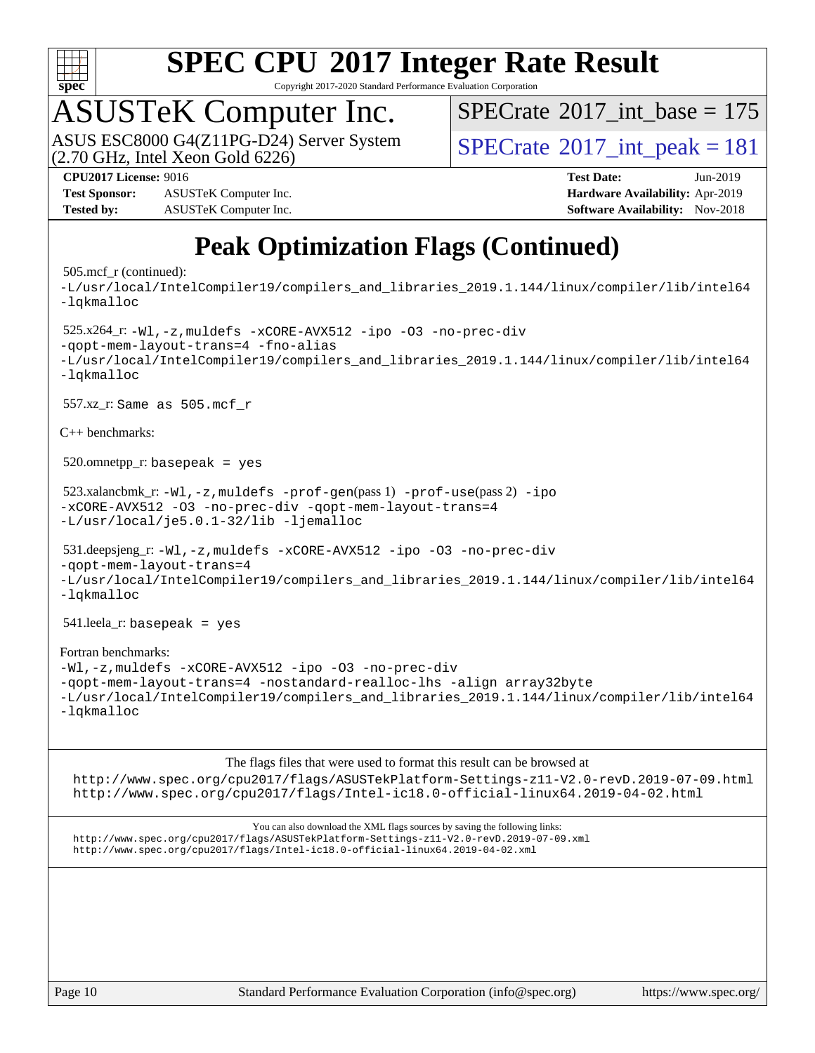

Copyright 2017-2020 Standard Performance Evaluation Corporation

# ASUSTeK Computer Inc.<br>ASUS ESC8000 G4(Z11PG-D24) Server System

 $(2.70$  GHz, Intel Xeon Gold  $6226)$ 

 $SPECTate$ <sup>®</sup>[2017\\_int\\_base =](http://www.spec.org/auto/cpu2017/Docs/result-fields.html#SPECrate2017intbase) 175

 $SPECTate<sup>®</sup>2017_int_ppeak = 181$ 

**[Test Sponsor:](http://www.spec.org/auto/cpu2017/Docs/result-fields.html#TestSponsor)** ASUSTeK Computer Inc. **[Hardware Availability:](http://www.spec.org/auto/cpu2017/Docs/result-fields.html#HardwareAvailability)** Apr-2019 **[Tested by:](http://www.spec.org/auto/cpu2017/Docs/result-fields.html#Testedby)** ASUSTeK Computer Inc. **[Software Availability:](http://www.spec.org/auto/cpu2017/Docs/result-fields.html#SoftwareAvailability)** Nov-2018

**[CPU2017 License:](http://www.spec.org/auto/cpu2017/Docs/result-fields.html#CPU2017License)** 9016 **[Test Date:](http://www.spec.org/auto/cpu2017/Docs/result-fields.html#TestDate)** Jun-2019

## **[Peak Optimization Flags \(Continued\)](http://www.spec.org/auto/cpu2017/Docs/result-fields.html#PeakOptimizationFlags)**

#### 505.mcf\_r (continued):

[-L/usr/local/IntelCompiler19/compilers\\_and\\_libraries\\_2019.1.144/linux/compiler/lib/intel64](http://www.spec.org/cpu2017/results/res2019q3/cpu2017-20190709-16044.flags.html#user_peakEXTRA_LIBS505_mcf_r_qkmalloc_link_f25da0aa8cf9bced0533715046f0c2fbfb1a7191e3e496916672e09b4c388a884c4c7e4862cb529343da2264b43416df65c99fd1ddbf5dd13ae6d3130cf47881) [-lqkmalloc](http://www.spec.org/cpu2017/results/res2019q3/cpu2017-20190709-16044.flags.html#user_peakEXTRA_LIBS505_mcf_r_qkmalloc_link_lib_79a818439969f771c6bc311cfd333c00fc099dad35c030f5aab9dda831713d2015205805422f83de8875488a2991c0a156aaa600e1f9138f8fc37004abc96dc5) 525.x264\_r: [-Wl,-z,muldefs](http://www.spec.org/cpu2017/results/res2019q3/cpu2017-20190709-16044.flags.html#user_peakEXTRA_LDFLAGS525_x264_r_link_force_multiple1_b4cbdb97b34bdee9ceefcfe54f4c8ea74255f0b02a4b23e853cdb0e18eb4525ac79b5a88067c842dd0ee6996c24547a27a4b99331201badda8798ef8a743f577) [-xCORE-AVX512](http://www.spec.org/cpu2017/results/res2019q3/cpu2017-20190709-16044.flags.html#user_peakCOPTIMIZE525_x264_r_f-xCORE-AVX512) [-ipo](http://www.spec.org/cpu2017/results/res2019q3/cpu2017-20190709-16044.flags.html#user_peakCOPTIMIZE525_x264_r_f-ipo) [-O3](http://www.spec.org/cpu2017/results/res2019q3/cpu2017-20190709-16044.flags.html#user_peakCOPTIMIZE525_x264_r_f-O3) [-no-prec-div](http://www.spec.org/cpu2017/results/res2019q3/cpu2017-20190709-16044.flags.html#user_peakCOPTIMIZE525_x264_r_f-no-prec-div) [-qopt-mem-layout-trans=4](http://www.spec.org/cpu2017/results/res2019q3/cpu2017-20190709-16044.flags.html#user_peakCOPTIMIZE525_x264_r_f-qopt-mem-layout-trans_fa39e755916c150a61361b7846f310bcdf6f04e385ef281cadf3647acec3f0ae266d1a1d22d972a7087a248fd4e6ca390a3634700869573d231a252c784941a8) [-fno-alias](http://www.spec.org/cpu2017/results/res2019q3/cpu2017-20190709-16044.flags.html#user_peakEXTRA_OPTIMIZE525_x264_r_f-no-alias_77dbac10d91cbfe898fbf4a29d1b29b694089caa623bdd1baccc9957d4edbe8d106c0b357e2748a65b44fc9e83d78098bb898077f3fe92f9faf24f7bd4a07ed7) [-L/usr/local/IntelCompiler19/compilers\\_and\\_libraries\\_2019.1.144/linux/compiler/lib/intel64](http://www.spec.org/cpu2017/results/res2019q3/cpu2017-20190709-16044.flags.html#user_peakEXTRA_LIBS525_x264_r_qkmalloc_link_f25da0aa8cf9bced0533715046f0c2fbfb1a7191e3e496916672e09b4c388a884c4c7e4862cb529343da2264b43416df65c99fd1ddbf5dd13ae6d3130cf47881) [-lqkmalloc](http://www.spec.org/cpu2017/results/res2019q3/cpu2017-20190709-16044.flags.html#user_peakEXTRA_LIBS525_x264_r_qkmalloc_link_lib_79a818439969f771c6bc311cfd333c00fc099dad35c030f5aab9dda831713d2015205805422f83de8875488a2991c0a156aaa600e1f9138f8fc37004abc96dc5) 557.xz\_r: Same as 505.mcf\_r [C++ benchmarks:](http://www.spec.org/auto/cpu2017/Docs/result-fields.html#CXXbenchmarks)  $520.$ omnetpp\_r: basepeak = yes 523.xalancbmk\_r: [-Wl,-z,muldefs](http://www.spec.org/cpu2017/results/res2019q3/cpu2017-20190709-16044.flags.html#user_peakEXTRA_LDFLAGS523_xalancbmk_r_link_force_multiple1_b4cbdb97b34bdee9ceefcfe54f4c8ea74255f0b02a4b23e853cdb0e18eb4525ac79b5a88067c842dd0ee6996c24547a27a4b99331201badda8798ef8a743f577) [-prof-gen](http://www.spec.org/cpu2017/results/res2019q3/cpu2017-20190709-16044.flags.html#user_peakPASS1_CXXFLAGSPASS1_LDFLAGS523_xalancbmk_r_prof_gen_5aa4926d6013ddb2a31985c654b3eb18169fc0c6952a63635c234f711e6e63dd76e94ad52365559451ec499a2cdb89e4dc58ba4c67ef54ca681ffbe1461d6b36)(pass 1) [-prof-use](http://www.spec.org/cpu2017/results/res2019q3/cpu2017-20190709-16044.flags.html#user_peakPASS2_CXXFLAGSPASS2_LDFLAGS523_xalancbmk_r_prof_use_1a21ceae95f36a2b53c25747139a6c16ca95bd9def2a207b4f0849963b97e94f5260e30a0c64f4bb623698870e679ca08317ef8150905d41bd88c6f78df73f19)(pass 2) [-ipo](http://www.spec.org/cpu2017/results/res2019q3/cpu2017-20190709-16044.flags.html#user_peakPASS1_CXXOPTIMIZEPASS2_CXXOPTIMIZE523_xalancbmk_r_f-ipo) [-xCORE-AVX512](http://www.spec.org/cpu2017/results/res2019q3/cpu2017-20190709-16044.flags.html#user_peakPASS2_CXXOPTIMIZE523_xalancbmk_r_f-xCORE-AVX512) [-O3](http://www.spec.org/cpu2017/results/res2019q3/cpu2017-20190709-16044.flags.html#user_peakPASS1_CXXOPTIMIZEPASS2_CXXOPTIMIZE523_xalancbmk_r_f-O3) [-no-prec-div](http://www.spec.org/cpu2017/results/res2019q3/cpu2017-20190709-16044.flags.html#user_peakPASS1_CXXOPTIMIZEPASS2_CXXOPTIMIZE523_xalancbmk_r_f-no-prec-div) [-qopt-mem-layout-trans=4](http://www.spec.org/cpu2017/results/res2019q3/cpu2017-20190709-16044.flags.html#user_peakPASS1_CXXOPTIMIZEPASS2_CXXOPTIMIZE523_xalancbmk_r_f-qopt-mem-layout-trans_fa39e755916c150a61361b7846f310bcdf6f04e385ef281cadf3647acec3f0ae266d1a1d22d972a7087a248fd4e6ca390a3634700869573d231a252c784941a8) [-L/usr/local/je5.0.1-32/lib](http://www.spec.org/cpu2017/results/res2019q3/cpu2017-20190709-16044.flags.html#user_peakEXTRA_LIBS523_xalancbmk_r_jemalloc_link_path32_e29f22e8e6c17053bbc6a0971f5a9c01a601a06bb1a59df2084b77a2fe0a2995b64fd4256feaeea39eeba3aae142e96e2b2b0a28974019c0c0c88139a84f900a) [-ljemalloc](http://www.spec.org/cpu2017/results/res2019q3/cpu2017-20190709-16044.flags.html#user_peakEXTRA_LIBS523_xalancbmk_r_jemalloc_link_lib_d1249b907c500fa1c0672f44f562e3d0f79738ae9e3c4a9c376d49f265a04b9c99b167ecedbf6711b3085be911c67ff61f150a17b3472be731631ba4d0471706) 531.deepsjeng\_r: [-Wl,-z,muldefs](http://www.spec.org/cpu2017/results/res2019q3/cpu2017-20190709-16044.flags.html#user_peakEXTRA_LDFLAGS531_deepsjeng_r_link_force_multiple1_b4cbdb97b34bdee9ceefcfe54f4c8ea74255f0b02a4b23e853cdb0e18eb4525ac79b5a88067c842dd0ee6996c24547a27a4b99331201badda8798ef8a743f577) [-xCORE-AVX512](http://www.spec.org/cpu2017/results/res2019q3/cpu2017-20190709-16044.flags.html#user_peakCXXOPTIMIZE531_deepsjeng_r_f-xCORE-AVX512) [-ipo](http://www.spec.org/cpu2017/results/res2019q3/cpu2017-20190709-16044.flags.html#user_peakCXXOPTIMIZE531_deepsjeng_r_f-ipo) [-O3](http://www.spec.org/cpu2017/results/res2019q3/cpu2017-20190709-16044.flags.html#user_peakCXXOPTIMIZE531_deepsjeng_r_f-O3) [-no-prec-div](http://www.spec.org/cpu2017/results/res2019q3/cpu2017-20190709-16044.flags.html#user_peakCXXOPTIMIZE531_deepsjeng_r_f-no-prec-div) [-qopt-mem-layout-trans=4](http://www.spec.org/cpu2017/results/res2019q3/cpu2017-20190709-16044.flags.html#user_peakCXXOPTIMIZE531_deepsjeng_r_f-qopt-mem-layout-trans_fa39e755916c150a61361b7846f310bcdf6f04e385ef281cadf3647acec3f0ae266d1a1d22d972a7087a248fd4e6ca390a3634700869573d231a252c784941a8) [-L/usr/local/IntelCompiler19/compilers\\_and\\_libraries\\_2019.1.144/linux/compiler/lib/intel64](http://www.spec.org/cpu2017/results/res2019q3/cpu2017-20190709-16044.flags.html#user_peakEXTRA_LIBS531_deepsjeng_r_qkmalloc_link_f25da0aa8cf9bced0533715046f0c2fbfb1a7191e3e496916672e09b4c388a884c4c7e4862cb529343da2264b43416df65c99fd1ddbf5dd13ae6d3130cf47881) [-lqkmalloc](http://www.spec.org/cpu2017/results/res2019q3/cpu2017-20190709-16044.flags.html#user_peakEXTRA_LIBS531_deepsjeng_r_qkmalloc_link_lib_79a818439969f771c6bc311cfd333c00fc099dad35c030f5aab9dda831713d2015205805422f83de8875488a2991c0a156aaa600e1f9138f8fc37004abc96dc5) 541.leela\_r: basepeak = yes [Fortran benchmarks:](http://www.spec.org/auto/cpu2017/Docs/result-fields.html#Fortranbenchmarks) [-Wl,-z,muldefs](http://www.spec.org/cpu2017/results/res2019q3/cpu2017-20190709-16044.flags.html#user_FCpeak_link_force_multiple1_b4cbdb97b34bdee9ceefcfe54f4c8ea74255f0b02a4b23e853cdb0e18eb4525ac79b5a88067c842dd0ee6996c24547a27a4b99331201badda8798ef8a743f577) [-xCORE-AVX512](http://www.spec.org/cpu2017/results/res2019q3/cpu2017-20190709-16044.flags.html#user_FCpeak_f-xCORE-AVX512) [-ipo](http://www.spec.org/cpu2017/results/res2019q3/cpu2017-20190709-16044.flags.html#user_FCpeak_f-ipo) [-O3](http://www.spec.org/cpu2017/results/res2019q3/cpu2017-20190709-16044.flags.html#user_FCpeak_f-O3) [-no-prec-div](http://www.spec.org/cpu2017/results/res2019q3/cpu2017-20190709-16044.flags.html#user_FCpeak_f-no-prec-div) [-qopt-mem-layout-trans=4](http://www.spec.org/cpu2017/results/res2019q3/cpu2017-20190709-16044.flags.html#user_FCpeak_f-qopt-mem-layout-trans_fa39e755916c150a61361b7846f310bcdf6f04e385ef281cadf3647acec3f0ae266d1a1d22d972a7087a248fd4e6ca390a3634700869573d231a252c784941a8) [-nostandard-realloc-lhs](http://www.spec.org/cpu2017/results/res2019q3/cpu2017-20190709-16044.flags.html#user_FCpeak_f_2003_std_realloc_82b4557e90729c0f113870c07e44d33d6f5a304b4f63d4c15d2d0f1fab99f5daaed73bdb9275d9ae411527f28b936061aa8b9c8f2d63842963b95c9dd6426b8a) [-align array32byte](http://www.spec.org/cpu2017/results/res2019q3/cpu2017-20190709-16044.flags.html#user_FCpeak_align_array32byte_b982fe038af199962ba9a80c053b8342c548c85b40b8e86eb3cc33dee0d7986a4af373ac2d51c3f7cf710a18d62fdce2948f201cd044323541f22fc0fffc51b6) [-L/usr/local/IntelCompiler19/compilers\\_and\\_libraries\\_2019.1.144/linux/compiler/lib/intel64](http://www.spec.org/cpu2017/results/res2019q3/cpu2017-20190709-16044.flags.html#user_FCpeak_qkmalloc_link_f25da0aa8cf9bced0533715046f0c2fbfb1a7191e3e496916672e09b4c388a884c4c7e4862cb529343da2264b43416df65c99fd1ddbf5dd13ae6d3130cf47881) [-lqkmalloc](http://www.spec.org/cpu2017/results/res2019q3/cpu2017-20190709-16044.flags.html#user_FCpeak_qkmalloc_link_lib_79a818439969f771c6bc311cfd333c00fc099dad35c030f5aab9dda831713d2015205805422f83de8875488a2991c0a156aaa600e1f9138f8fc37004abc96dc5)

#### [The flags files that were used to format this result can be browsed at](tmsearch)

<http://www.spec.org/cpu2017/flags/ASUSTekPlatform-Settings-z11-V2.0-revD.2019-07-09.html> <http://www.spec.org/cpu2017/flags/Intel-ic18.0-official-linux64.2019-04-02.html>

[You can also download the XML flags sources by saving the following links:](tmsearch) <http://www.spec.org/cpu2017/flags/ASUSTekPlatform-Settings-z11-V2.0-revD.2019-07-09.xml> <http://www.spec.org/cpu2017/flags/Intel-ic18.0-official-linux64.2019-04-02.xml>